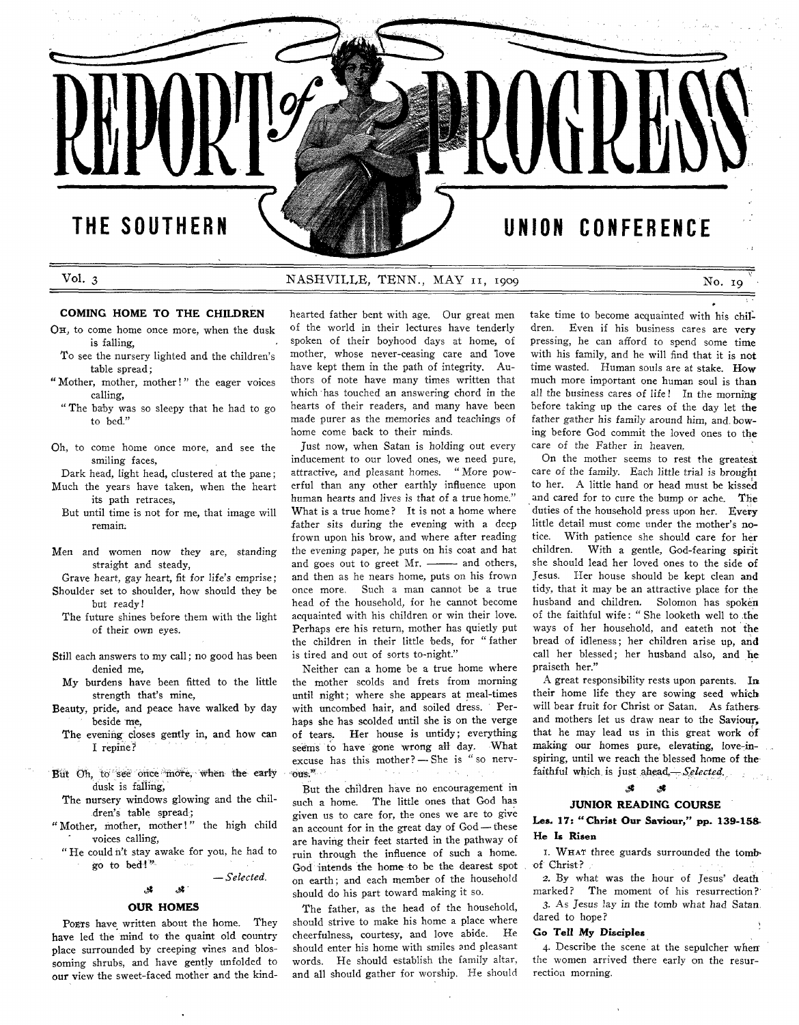**Vol.** 3

## NASHVILLE, TENN., MAY 11, 1909

**No. 19**

## **COMING HOME TO THE CHILDREN**

- OH, to come home once more, when the dusk is falling,
- To see the nursery lighted and the children's table spread;
- "Mother, mother, mother!" the eager voices calling,
- " The baby was so sleepy that he had to go to bed."
- Oh, to come home once more, and see the smiling faces,
- Dark head, light head, clustered at the pane; Much the years have taken, when the heart its path retraces,
- But until time is not for me, that image will remain.
- Men and women now they are, standing straight and steady,
- Grave heart, gay heart, fit for life's emprise ; Shoulder set to shoulder, how should they be but ready!
- The future shines before them with the light of their own eyes.
- Still each answers to my call; no good has been denied me,
- My burdens have been fitted to the little strength that's mine,
- Beauty, pride, and peace have walked by day beside me,
	- The evening closes gently in, and how can I repine?
- But Oh, to see once more, when the early dusk is falling,
- The nursery windows glowing and the children's table spread;
- "Mother, mother, mother!" the high child voices calling,
- " He could n't stay awake for you, he had to go to bed!"

*at at*

— *Selected.*

## **OUR HOMES**

POETS have written about the home. They have led the mind to the quaint old country place surrounded by creeping vines and blossoming shrubs, and have gently unfolded to our view the sweet-faced mother and the kindhearted father bent with age. Our great men of the world in their lectures have tenderly spoken of their boyhood days at home, of mother, whose never-ceasing care and love have kept them in the path of integrity. Authors of note have many times written that which has touched an answering chord in the hearts of their readers, and many have been made purer as the memories and teachings of home come back to their minds.

Just now, when Satan is holding out every inducement to our loved ones, we need pure, attractive, and pleasant homes. " More powerful than any other earthly influence upon human hearts and lives is that of a true home." What is a true home? It is not a home where father sits during the evening with a deep frown upon his brow, and where after reading the evening paper, he puts on his coat and hat and goes out to greet  $Mr.$  ------- and others, and then as he nears home, puts on his frown once more. Such a man cannot be a true head of the household, for he cannot become acquainted with his children or win their love. Perhaps ere his return, mother has quietly put the children in their little beds, for " father is tired and out of sorts to-night."

Neither can a home be a true home where the mother scolds and frets from morning until night; where she appears at meal-times with uncombed hair, and soiled dress. Perhaps she has scolded until she is on the verge of tears. Her house is untidy; everything seems to have gone wrong all day. What excuse has this mother? — She is " so nervous."

But the children have no encouragement in such a home. The little ones that God has given us to care for, the ones we are to give an account for in the great day of God — these are having their feet started in the pathway of ruin through the influence of such a home. God intends the home' to be the dearest spot on earth; and each member of the household should do his part toward making it so.

The father, as the head of the household, should strive to make his home a place where cheerfulness, courtesy, and love abide. He should enter his home with smiles and pleasant words. He should establish the family altar, and all should gather for worship. He should take time to become acquainted with his children. Even if his business cares are very pressing, he can afford to spend some time with his family, and he will find that it is not time wasted. Human souls are at stake. How much more important one human soul is than all the business cares of life! In the morning before taking up the cares of the day let the father gather his family around him, and. bowing before God commit the loved ones to the care of the Father in heaven.

On the mother seems to rest the greatest care of the family. Each little trial is brought to her. A little hand or head must be kissed and cared for to cure the bump or ache. The duties of the household press upon her. Every little detail must come under the mother's notice. With patience she should care for her children. With a gentle, God-fearing spirit she should lead her loved ones to the side of Jesus. Her house should be kept clean and tidy, that it may be an attractive place for the husband and children. Solomon has spoken of the faithful wife: "She looketh well to the ways of her household, and eateth not the bread of idleness; her children arise up, and call her blessed; her husband also, and he praiseth her."

A great responsibility rests upon parents. In their home life they are sowing seed which will bear fruit for Christ or Satan. As fathers, and mothers let us draw near to the Saviour, that he may lead us in this great work of making our homes pure, elevating, love-inspiring, until we reach the blessed home of the faithful which is just ahead.— *Selected.*

## **JUNIOR READING COURSE**

## **Les. 17: " Christ Our Saviour," pp. 139-158 He Is Risen**

*& at*

1. WHAT three guards surrounded the tombof Christ ?

2. By what was the hour of Jesus' death marked? The moment of his resurrection? 3. As Jesus lay in the tomb what had Satan, dared to hope?

## **Go Tell My Disciples**

4. Describe the scene at the sepulcher when the women arrived there early on the resurrection morning.

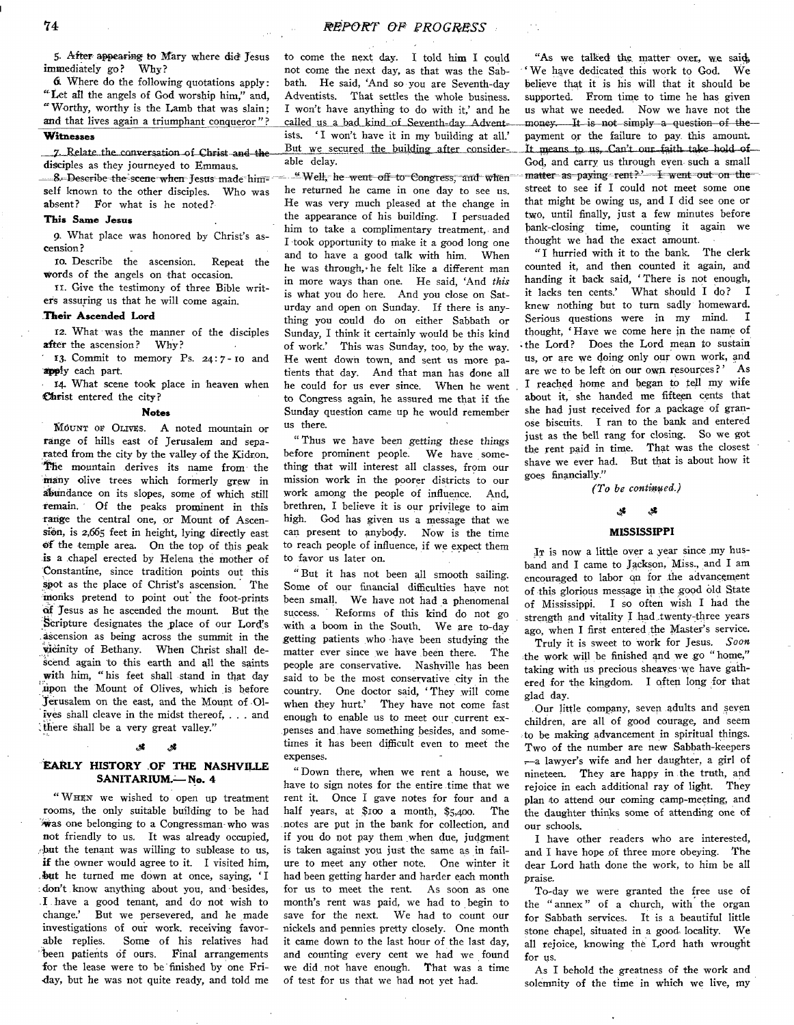5. After appearing to Mary where did Jesus immediately go? Why?

*&* Where do the following quotations apply: " Let all the angels of God worship him," and, "W orthy, worthy is the Lamb that was slain; and that lives again a triumphant conqueror"?

## **Witnesses**

7. Relate the conversation of Christ and the disciples as they journeyed to Emmaus.

8. Describe the scene when Jesus made himself known to the other disciples. Who was absent? For what is he noted?

## **This Same Jesus**

9. What place was honored by Christ's ascension?

10. Describe the ascension. Repeat the words of the angels on that occasion.

ix. Give the testimony of three Bible writers assuring us that he will come again.

## **.Their Ascended Lord**

12. What was the manner of the disciples<br>ter the ascension? Why? after the ascension?

13. Commit to memory Ps. 24: 7 - 10 and apply each part.

14. What scene took place in heaven when Christ entered the city?

#### **Notes**

MOUNT OF OLIVES. A noted mountain or ränge of hills east of Jerusalem and separated from the city by the valley of the Kidron. The mountain derives its name from the many olive trees which formerly grew in abundance on its slopes, some of which still remain. Of the peaks prominent in this range the central one, or Mount of Ascension, is 2,665 feet in height, lying directly east of the temple area. On the top of this peak is a chapel erected by Helena the mother of Constantine, since tradition points out this spot as the place of Christ's ascension. The monks pretend to point out the foot-prints of Jesus as he ascended the mount. But the Scripture designates the place of our Lord's äscension as being across the summit in the vicinity of Bethany. When Christ shall descend again to this earth and all the saints with him, " his feet shall stand in that day .upon the Mount of Olives, which is before Jerusalem on the east, and the Mount of Olives shall cleave in the midst thereof, . . . and ithere shall be a very great valley."

## d\* *S*

## **EARLY HISTORY OF THE NASHVILLE SANITARIUM.— No. 4**

" WHEN we wished to open up treatment rooms, the only suitable building to be had was one belonging to a Congressman'who was not friendly to us. It was already occupied, . but the tenant was willing to sublease to us, if the owner would agree to it. I visited him, . but he turned me down at once, saying, ' I : don't know anything about you, and besides, . I have a good tenant, and do not wish to change.' But we persevered, and he made investigations of our work, receiving favorable replies. Some of his relatives had been patients of ours. Final arrangements for the lease were to be finished by one Friday, but he was not quite ready, and told me

to come the next day- I told him I could not come the next day, as that was the Sabbath. He said, 'And so you are Seventh-day Adventists. That settles the whole business. I won't have anything to do with it,' and he called us a bad kind of Seventh-day Adventists. 'I won't have it in my building at all.' But we secured the building after considerable delay.

-=■ " Well, he went off to Congress, and when he returned he came in one day to see us. He was very much pleased at the change in the appearance of his building. I persuaded him to take a complimentary treatment, and I took opportunity to make it a good long one and to have a good talk with him. When he was through,\* he felt like a different man in more ways than one. He said, 'And *this* is what you do here. And you close on Saturday and open on Sunday. If there is anything you could do on either Sabbath or Sunday, I think it certainly would be this kind of work.' This was Sunday, too, by the way. He went down town, and sent us more patients that day. And that man has done all he could for us ever since. When he went to Congress again, he assured me that if the Sunday question came up he would remember us there.

" Thus we have been *getting these things* before prominent people. We have something that will interest all classes, from our mission work in the poorer districts to our work among the people of influence. And, brethren, I believe it is our privilege to aim high. God has given us a message that we can present to anybody. Now is the time to reach people of influence, if we expect them to favor us later on.

" But it has not been all smooth sailing. Some of our financial difficulties have not been small. We have not had a phenomenal success. Reforms of this kind do not go with a boom in the South. We are to-day getting patients who have been studying the matter ever since we have been there. The people are conservative. Nashville has been said to be the most conservative city in the country. One doctor said, 'They will come when they hurt.' They have not come fast They have not come fast enough to enable us to meet our current expenses and have something besides, and sometimes it has been difficult even to meet the expenses.

" Down there, when we rent a house, we have to sign notes for the entire time that we rent it. Once I gave notes for four and a half years, at \$100 a month, \$5,400. The notes are put in the bank for collection, and if you do not pay them when due, judgment is taken against you just the same as in failure to meet any other note. One winter it had been getting harder and harder each month for us to meet the rent. As soon as one month's rent was paid, we had to begin to save for the next. We had to count our nickels and pennies pretty closely. One month it came down to the last hour of the last day, and counting every cent we had we found we did. not have enough. That was a time of test for us that we had not yet had.

"As we talked the matter over, we said, ' We have dedicated this work to God. We believe that it is his will that it should be supported. From time to time he has given us what we needed. Now we have not the money. It is not simply a question of the payment or the failure to pay. this amount.<br>It means to us, Can't our faith take hold of God, and carry us through even such a small matter as paying rent?' I went out on the street to see if I could not meet some one that might be owing us, and I did see one or two, until finally, just a few minutes before bank-closing time, counting it again we thought we had the exact amount.

"I hurried with it to the bank. The clerk counted it, and then counted it again, and handing it back said, ' There is not enough, it lacks ten cents.' What should I do? I knew nothing but to turn sadly homeward.<br>Serious questions were in my mind I Serious questions were in my mind. thought, ' Haye we come here in the name of -the Lord? Does the Lord mean to sustain us, or are we doing only our own work, and<br>are we to be left on our own resources?' As are we to be left on our own resources?' I reached home and began to fell my wife about it, she handed me fifteen cents that she had just received for a package of granose biscuits. I ran to the bank and entered just as the bell rang for closing. So we got the rent paid in time. That was the closest shave we ever had. But that is about how it goes financially."

*(To be continued.)*

#### $\mathbf{z}$

## **MISSISSIPPI**

<u>لا.</u>

It is now a little over a year since my husband and I came to Jackson, Miss., and I am encouraged to labor qn for the advancement of this glorious message in the good old State of Mississippi. I so often wish I had the . strength and vitality I had twenty three years ago, when I first entered the Master's service.

Truly it is sweet to work for Jesus. *Soon* the work will be finished and we go " home," taking with us precious sheaves we have gathered for the kingdom. I often long for that glad day.

.Our little company, seven adults and seyen children, are all of good courage, and seem to be making advancement in spiritual things. Two of the number are new Sabbath-keepers ,—a lawyer's wife and her daughter, a girl of nineteen. They are happy in the truth, and rejoice in each additional ray of light. They plan to attend our coming camp-meeting, and the daughter thinks some of attending one of our schools.

I have other readers who are interested, and I have hope of three more obeying. The dear Lord hath done the work, to him be all praise.

To-day we were granted the free use of the " annex " of a church, with the organ for Sabbath services. It is a beautiful little stone chapel, situated in a good locality. We all rejoice, knowing thè Lord hath wrought for us.

As I behold the greatness of the work and solemnity of the time in which we live, my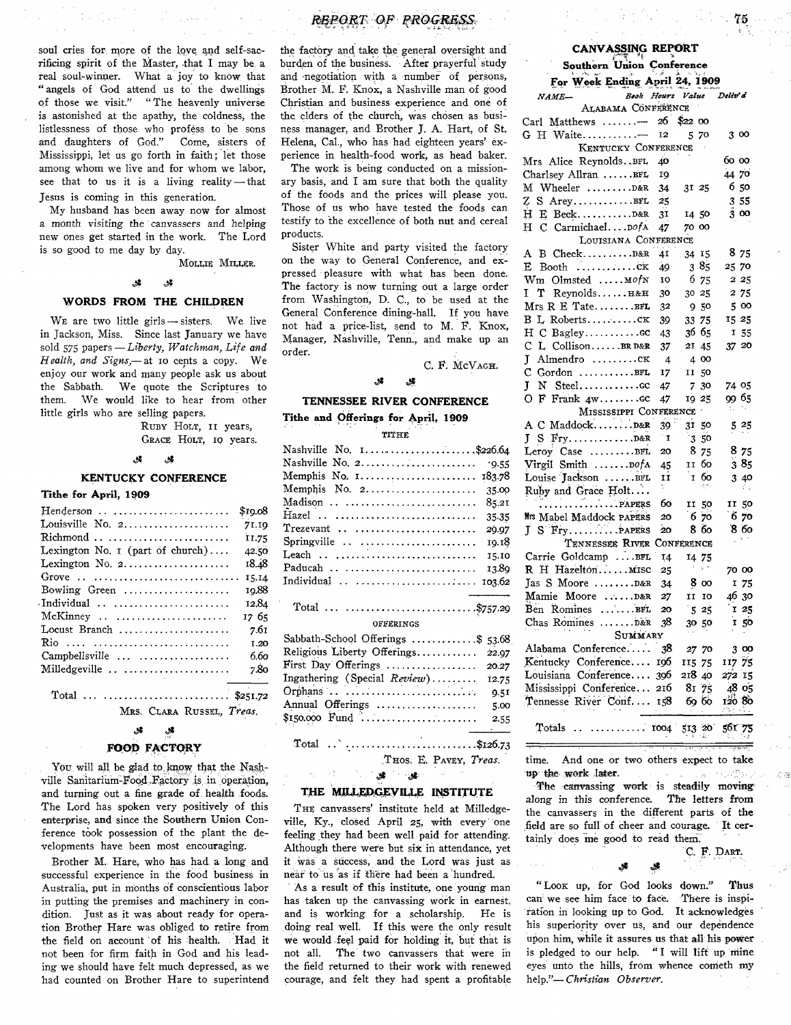soul cries for more of the love and self-sacrificing spirit of the Master, that I may be a real soul-winner. What a joy to know, that " angels of God attend us to the dwellings of those we visit." " The heavenly universe is astonished at the apathy, the coldness, the listlessness of those who profess to be sons and daughters of God." Come, sisters of and daughters of God." Mississippi, let us go forth in faith; let those among whom we live and for whom we labor, see that to us it is a living reality — that Jesus is coming in this generation.

My husband has been away now for almost a month visiting the canvassers and helping new ones get started in the work. The Lord is so good to me day by day.

MOLLIE MILLER.

## *Sf ¿X*

## **WORDS FROM THE CHILDREN**

WE are two little girls - sisters. We live in Jackson, Miss. Since last January we have sold 575 papers— *Liberty, Watchman, Life and Health, and Signs*,— at 10 cents a copy. We enjoy our work and many people ask us about the Sabbath. We quote the Scriptures to them. We would like to hear from other little girls who are selling papers.

> RUBY HOLT, II years, GRACE HOLT, 10 years.

### *¿X &*

#### **KENTUCKY CONFERENCE**

## Tithe for April, 1909

| $H$ enderson                                                                | \$10.08 |
|-----------------------------------------------------------------------------|---------|
| Louisville No. $2, \ldots, \ldots, \ldots, \ldots$                          | 71.19   |
| $Richard \dots \dots \dots \dots \dots \dots \dots \dots$                   | 11.75   |
| Lexington No. $\mathbf{I}$ (part of church)                                 | 42.50   |
| Lexington No. 2.                                                            | 18.48   |
|                                                                             | 15.14   |
| Bowling Green $\dots\dots\dots\dots\dots\dots\dots$                         | 10.88   |
| $\text{-}\text{Individual} \dots \dots \dots \dots \dots \dots \dots \dots$ | 12.84   |
|                                                                             | 17 65   |
| Locust Branch                                                               | 7.61    |
| Rio                                                                         | I.20    |
| Campbellsville                                                              | 6.60    |
| Milledgeville                                                               | 7.80    |
| Total  \$251.72                                                             |         |

MRS. CLARA RUSSEL. Treas.

#### *¿X ¿X*

## **FOOD FACTORY**

You, will all be glad to know that the Nashville Sanitarium-Food Factory is in operation, and turning out a fine grade of health foods. The Lord has spoken very positively of this enterprise, and since the Southern Union Conference took possession of the plant the developments have been most encouraging.

Brother M.. Hare, who has had, a long and successful experience in the food business in Australia, put in months of conscientious labor in putting the premises and machinery in condition. Just as it was about ready for operation Brother Hare was obliged to retire from the field on account of his health. Had it not been for firm faith in God and his leading we should have felt much depressed, as we had counted on Brother Hare to superintend

## $RBEORT$  OF PROGRESS

the factory and take the general oversight and burden of the business. After prayerful study and negotiation with a number of persons, Brother M. F. Knox, a Nashville man of good Christian and business experience and one of the elders of the church, was chosen as business manager, and Brother J. A. Hart, of St. Helena, Cal, who has had eighteen years' experience in health-food work, as head baker.

The work is being conducted on a missionary basis, and I am sure that both the quality of the foods and the prices will please you. Those of us who have tested the foods can testify to the excellence of both nut and cereal products.

Sister White and party visited the factory on the way to General Conference, and expressed pleasure with what has been done. The factory is now turning out a large order from Washington, D. C., to be used at the General Conference dining-hall. If you have not had a price-list, send to M. F. Knox, Manager, Nashville, Tenn., and make up an order.

C. F. MCVAGH.

#### *¿X*

## **TENNESSEE RIVER CONFERENCE**

## Tithe and Offerings for April, 1909 TITHE<sup>1</sup>

| Nashville No. 1\$226.64               |  |  |  |  |
|---------------------------------------|--|--|--|--|
| Nashville No. 2.<br>.9.55             |  |  |  |  |
| 183.78                                |  |  |  |  |
| Memphis No. 2<br>35.00                |  |  |  |  |
| Madison<br>85.21                      |  |  |  |  |
| Hazel<br>35.35                        |  |  |  |  |
| $T$ rezevant<br>29.97                 |  |  |  |  |
| Springville<br>19.18                  |  |  |  |  |
| Leach  ,<br>15.10                     |  |  |  |  |
| Paducah<br>13.89                      |  |  |  |  |
| Individual<br>103.62                  |  |  |  |  |
| Total  \$757.29                       |  |  |  |  |
| <b>OFFERINGS</b>                      |  |  |  |  |
| Sabbath-School Offerings \$<br>53.68  |  |  |  |  |
| Religious Liberty Offerings<br>22.97  |  |  |  |  |
| First Day Offerings<br>20.27          |  |  |  |  |
| Ingathering (Special Review)<br>12.75 |  |  |  |  |
| 9.51                                  |  |  |  |  |
| Annual Offerings<br>5.00              |  |  |  |  |
| 2.55                                  |  |  |  |  |

Total  $\ldots$  ...............................\$126.73

THOS. E. PAVEY, Treas.

### *dX JX*

## **THE MILLEDGEVILLE INSTITUTE**

THE canvassers' institute held at Milledgeville, Ky., closed April 25, with every one feeling they had been well paid for attending. Although there were but six in attendance, yet it was a success, and the Lord was just as near to us as if there had been a hundred.

As a result of this institute, one young man has taken up the canvassing work in earnest, and is working for a scholarship. He is doing real well. If this were the only result we would feel paid for holding it, but that is not all. The two canvassers that were in the field returned to their work with renewed courage, and felt they had spent a profitable

## **CANVASSING REPORT**

# **Southern Union Conference**

| For Week Ending April 24, 1909            |                    |                      |           |         |         |  |
|-------------------------------------------|--------------------|----------------------|-----------|---------|---------|--|
| Book Hours Value<br>NAME-                 |                    |                      |           | Deliv'd |         |  |
| ALABAMA CONFERENCE                        |                    |                      |           |         |         |  |
| Carl Matthews                             | 26                 | \$2200               |           |         |         |  |
| $G$ H Waite                               | 12                 | 5 70                 |           | 300     |         |  |
| KENTUCKY CONFERENCE                       |                    |                      |           |         |         |  |
| Mrs Alice Reynolds. BFL                   | ΔO                 |                      |           | 60 00   |         |  |
| Charlsey Allran BFL                       | 19                 |                      |           | 44 70   |         |  |
| М<br>Wheeler $\ldots \ldots \ldots$       | 34                 | 31 25                |           |         | 6 50    |  |
| Z S AreyBFL                               | 25                 |                      |           |         | 3 55    |  |
| н<br>E                                    | 31                 | 14 50                |           |         | 3 00    |  |
| H C CarmichaelDofA                        | 47                 | 70 00                |           |         |         |  |
| LOUISIANA CONFERENCE                      |                    |                      |           |         |         |  |
| A B Cheek D&R                             | 41                 | 34 15                |           |         | 875     |  |
| E<br>Booth $\dots\dots\dots\dots\dots$    | 49                 | 385                  |           | 25 70   |         |  |
| $Wm$ Olmsted $m \circ fN$                 | 10                 | 6 75                 |           |         | 2 25    |  |
| I<br>T.<br>Revnolds H&H                   | 30                 | 30 25                |           |         | 2 75    |  |
|                                           |                    |                      |           |         |         |  |
| $Mrs R E_{\text{Tate}} \ldots \ldots$     | 32                 | 950                  |           |         | 5 00    |  |
| B L Robertsck                             | 39                 | 33 75                |           | 15 25   |         |  |
| H C Bagleycc                              | 43                 | 36 65                |           |         | $I$ 55  |  |
| L CollisonBRD&R<br>C                      | 37                 | 21 45                |           | 37 20   |         |  |
| J<br>Almendro CK                          | 4                  | 4 00                 |           |         |         |  |
| Gordon BFL<br>с                           | 17                 | H                    | 50        |         |         |  |
| Ţ<br>N Steelcc                            | 47                 | 7                    | 30        | 74 05   |         |  |
| O F Frank 4wcc                            | 47                 | 19 25                |           | 99 65   |         |  |
| MISSISSIPPI CONFERENCE                    |                    | $\ddot{\phantom{1}}$ |           | ٠.      |         |  |
| A C Maddock                               | 39                 | 31 50                |           |         | 5 25    |  |
|                                           | $\mathbf{T}^{(1)}$ | 3.50                 |           |         |         |  |
| Leroy Case BFL                            | 20                 | 875                  |           |         | 8 75    |  |
| Virgil Smith  DofA                        | 45                 | II                   | 60        |         | 385     |  |
| Louise Jackson BFL                        | 1T                 | Ī                    | 60        |         | 3 40    |  |
| Ruby and Grace Holt                       | î,                 |                      |           |         |         |  |
| PAPERS                                    | бо                 | II 50                |           |         | II 50   |  |
| Mrs Mabel Maddock PAPERS                  | 20                 | 6,70                 |           |         | 670     |  |
| J S Fry PAPERS                            | 20                 | 8 бо                 |           |         | $8\,60$ |  |
| TENNESSEE RIVER                           |                    | Conference           |           |         |         |  |
| Carrie Goldcamp BFL                       | 14                 | 14 75                |           |         |         |  |
| $R$ H Hazelton Misc                       | 25                 |                      | s n       |         | 70 00   |  |
| Jas S Moore  D&R                          | 34                 | $8\omega$            |           | 1       | 75      |  |
| Mamie Moore D&R                           | 27                 | II                   | <b>IO</b> |         | 46 30   |  |
| Ben Romines BFL                           | 20                 | 525                  |           |         | 125     |  |
| Chas Romines  D&R                         | 38                 | 30 50                |           |         | 150     |  |
| SUMMARY                                   |                    |                      |           |         |         |  |
| Alabama Conference<br>38<br>27 70<br>3 00 |                    |                      |           |         |         |  |
| Kentucky Conference                       | 196                | 115 75               |           | 117 75  |         |  |
| Louisiana Conference                      | 396                | 218 40               |           | 272 15  |         |  |
| Mississippi Conference                    | 216                | 81 75                |           |         | 48 05   |  |
| Tennesse River Conf                       | T58                | 60 60                |           | 120 80  |         |  |
|                                           |                    |                      |           | くろうさん   |         |  |
|                                           |                    |                      |           |         |         |  |

Totals ............................ 1004 513 *20* 561 75

time. And one or two others expect to take up the work later. up the work later. .

The canvassing work is steadily moving along in this conference. The letters from the canvassers in the different parts of the field are so full of cheer and courage. It certainly does me good to read them.

d\* *JX*

C. F. DART.

" LOOK up, for God looks down." Thus can we see him face to face. There is inspiration in looking up to God. It acknowledges his superiority over us, and our dependence upon him, while it assures us that all his power is pledged to our help. "I will lift up mine eyes unto the hills, from whence cometh my help*."— Christian Observer.*